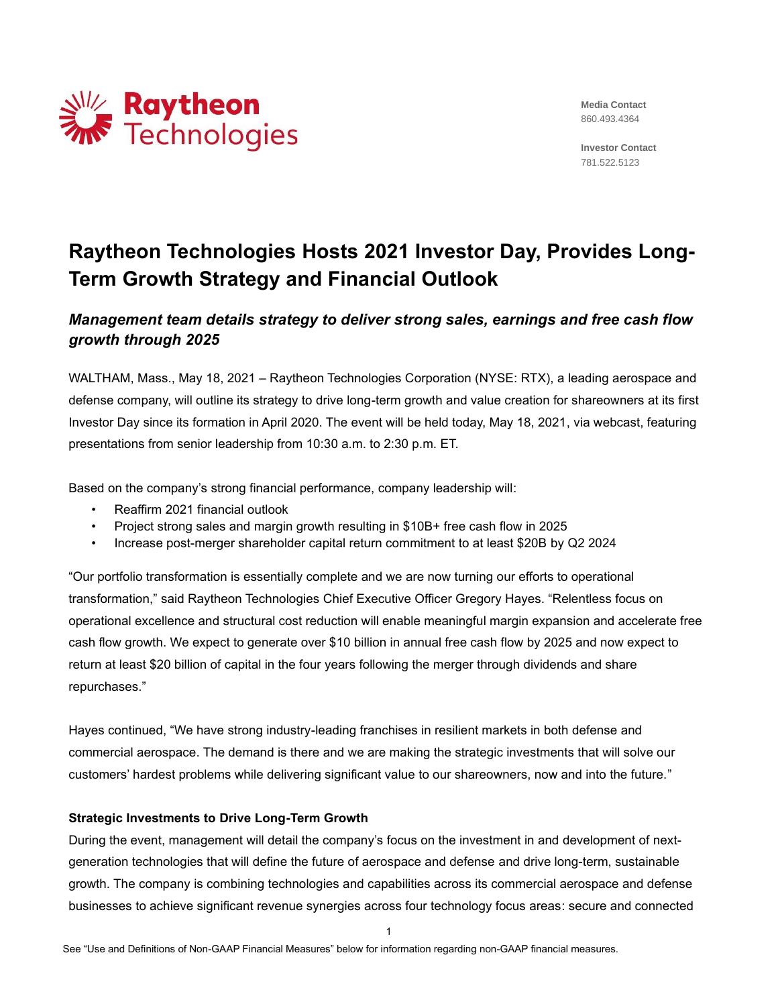

**Media Contact** 860.493.4364

**Investor Contact** 781.522.5123

# **Raytheon Technologies Hosts 2021 Investor Day, Provides Long-Term Growth Strategy and Financial Outlook**

# *Management team details strategy to deliver strong sales, earnings and free cash flow growth through 2025*

WALTHAM, Mass., May 18, 2021 – Raytheon Technologies Corporation (NYSE: RTX), a leading aerospace and defense company, will outline its strategy to drive long-term growth and value creation for shareowners at its first Investor Day since its formation in April 2020. The event will be held today, May 18, 2021, via webcast, featuring presentations from senior leadership from 10:30 a.m. to 2:30 p.m. ET.

Based on the company's strong financial performance, company leadership will:

- Reaffirm 2021 financial outlook
- Project strong sales and margin growth resulting in \$10B+ free cash flow in 2025
- Increase post-merger shareholder capital return commitment to at least \$20B by Q2 2024

"Our portfolio transformation is essentially complete and we are now turning our efforts to operational transformation," said Raytheon Technologies Chief Executive Officer Gregory Hayes. "Relentless focus on operational excellence and structural cost reduction will enable meaningful margin expansion and accelerate free cash flow growth. We expect to generate over \$10 billion in annual free cash flow by 2025 and now expect to return at least \$20 billion of capital in the four years following the merger through dividends and share repurchases."

Hayes continued, "We have strong industry-leading franchises in resilient markets in both defense and commercial aerospace. The demand is there and we are making the strategic investments that will solve our customers' hardest problems while delivering significant value to our shareowners, now and into the future."

#### **Strategic Investments to Drive Long-Term Growth**

During the event, management will detail the company's focus on the investment in and development of nextgeneration technologies that will define the future of aerospace and defense and drive long-term, sustainable growth. The company is combining technologies and capabilities across its commercial aerospace and defense businesses to achieve significant revenue synergies across four technology focus areas: secure and connected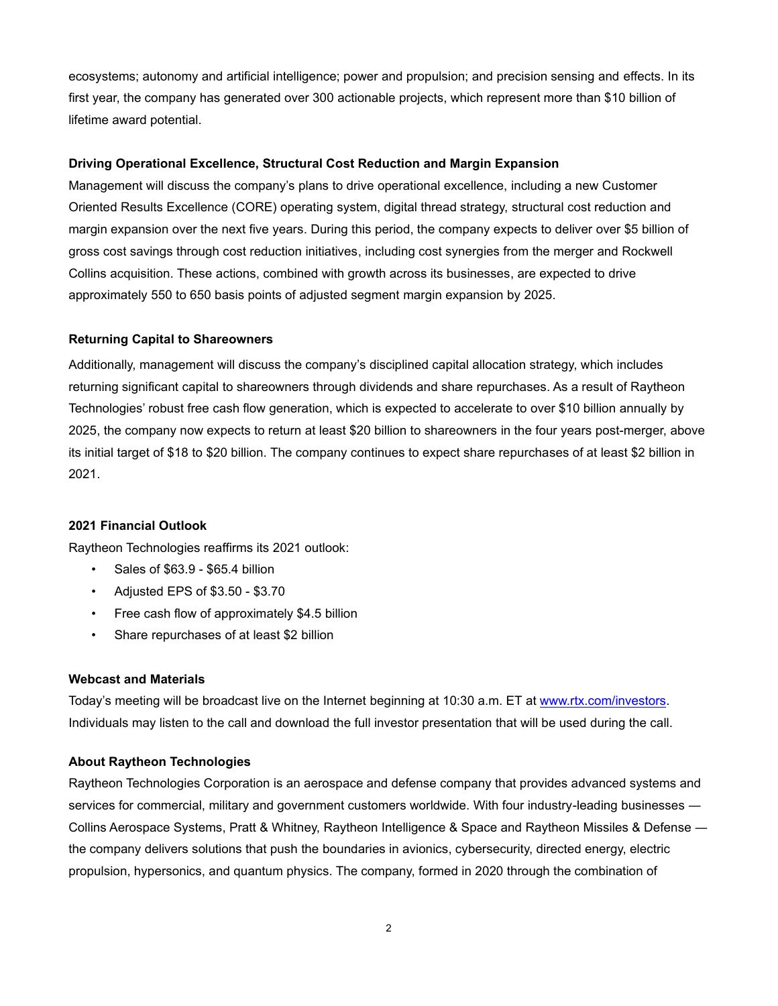ecosystems; autonomy and artificial intelligence; power and propulsion; and precision sensing and effects. In its first year, the company has generated over 300 actionable projects, which represent more than \$10 billion of lifetime award potential.

#### **Driving Operational Excellence, Structural Cost Reduction and Margin Expansion**

Management will discuss the company's plans to drive operational excellence, including a new Customer Oriented Results Excellence (CORE) operating system, digital thread strategy, structural cost reduction and margin expansion over the next five years. During this period, the company expects to deliver over \$5 billion of gross cost savings through cost reduction initiatives, including cost synergies from the merger and Rockwell Collins acquisition. These actions, combined with growth across its businesses, are expected to drive approximately 550 to 650 basis points of adjusted segment margin expansion by 2025.

#### **Returning Capital to Shareowners**

Additionally, management will discuss the company's disciplined capital allocation strategy, which includes returning significant capital to shareowners through dividends and share repurchases. As a result of Raytheon Technologies' robust free cash flow generation, which is expected to accelerate to over \$10 billion annually by 2025, the company now expects to return at least \$20 billion to shareowners in the four years post-merger, above its initial target of \$18 to \$20 billion. The company continues to expect share repurchases of at least \$2 billion in 2021.

#### **2021 Financial Outlook**

Raytheon Technologies reaffirms its 2021 outlook:

- Sales of \$63.9 \$65.4 billion
- Adjusted EPS of \$3.50 \$3.70
- Free cash flow of approximately \$4.5 billion
- Share repurchases of at least \$2 billion

## **Webcast and Materials**

Today's meeting will be broadcast live on the Internet beginning at 10:30 a.m. ET at [www.rtx.com/investors.](http://www.rtx.com/investors) Individuals may listen to the call and download the full investor presentation that will be used during the call.

#### **About Raytheon Technologies**

Raytheon Technologies Corporation is an aerospace and defense company that provides advanced systems and services for commercial, military and government customers worldwide. With four industry-leading businesses ― Collins Aerospace Systems, Pratt & Whitney, Raytheon Intelligence & Space and Raytheon Missiles & Defense ― the company delivers solutions that push the boundaries in avionics, cybersecurity, directed energy, electric propulsion, hypersonics, and quantum physics. The company, formed in 2020 through the combination of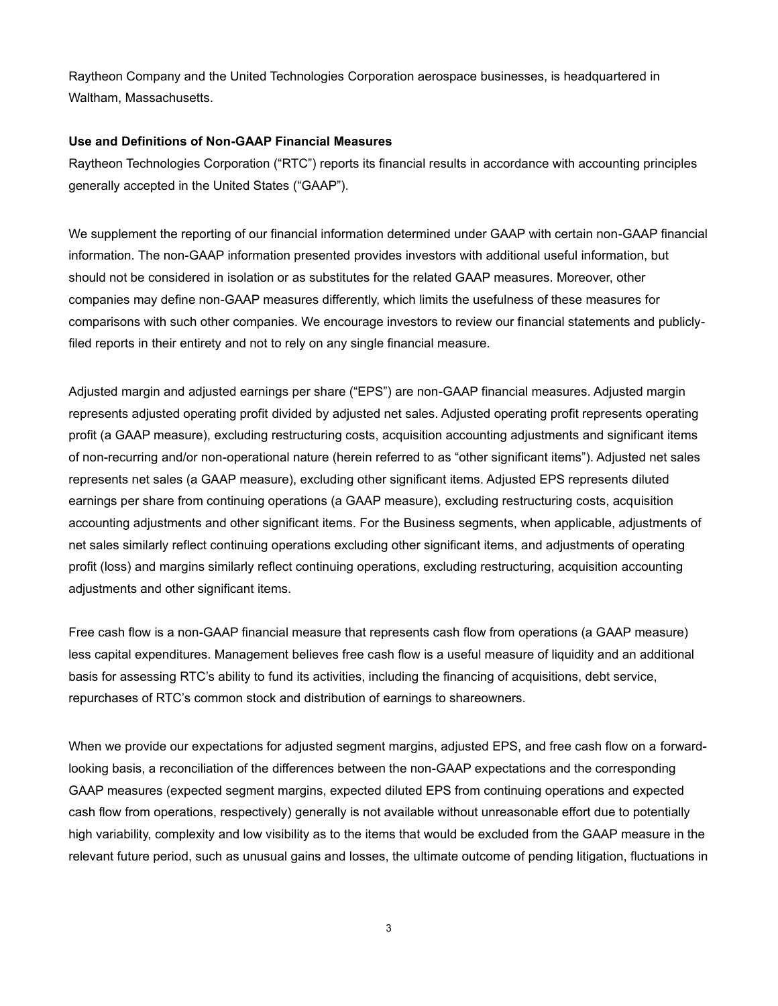Raytheon Company and the United Technologies Corporation aerospace businesses, is headquartered in Waltham, Massachusetts.

## **Use and Definitions of Non-GAAP Financial Measures**

Raytheon Technologies Corporation ("RTC") reports its financial results in accordance with accounting principles generally accepted in the United States ("GAAP").

We supplement the reporting of our financial information determined under GAAP with certain non-GAAP financial information. The non-GAAP information presented provides investors with additional useful information, but should not be considered in isolation or as substitutes for the related GAAP measures. Moreover, other companies may define non-GAAP measures differently, which limits the usefulness of these measures for comparisons with such other companies. We encourage investors to review our financial statements and publiclyfiled reports in their entirety and not to rely on any single financial measure.

Adjusted margin and adjusted earnings per share ("EPS") are non-GAAP financial measures. Adjusted margin represents adjusted operating profit divided by adjusted net sales. Adjusted operating profit represents operating profit (a GAAP measure), excluding restructuring costs, acquisition accounting adjustments and significant items of non-recurring and/or non-operational nature (herein referred to as "other significant items"). Adjusted net sales represents net sales (a GAAP measure), excluding other significant items. Adjusted EPS represents diluted earnings per share from continuing operations (a GAAP measure), excluding restructuring costs, acquisition accounting adjustments and other significant items. For the Business segments, when applicable, adjustments of net sales similarly reflect continuing operations excluding other significant items, and adjustments of operating profit (loss) and margins similarly reflect continuing operations, excluding restructuring, acquisition accounting adjustments and other significant items.

Free cash flow is a non-GAAP financial measure that represents cash flow from operations (a GAAP measure) less capital expenditures. Management believes free cash flow is a useful measure of liquidity and an additional basis for assessing RTC's ability to fund its activities, including the financing of acquisitions, debt service, repurchases of RTC's common stock and distribution of earnings to shareowners.

When we provide our expectations for adjusted segment margins, adjusted EPS, and free cash flow on a forwardlooking basis, a reconciliation of the differences between the non-GAAP expectations and the corresponding GAAP measures (expected segment margins, expected diluted EPS from continuing operations and expected cash flow from operations, respectively) generally is not available without unreasonable effort due to potentially high variability, complexity and low visibility as to the items that would be excluded from the GAAP measure in the relevant future period, such as unusual gains and losses, the ultimate outcome of pending litigation, fluctuations in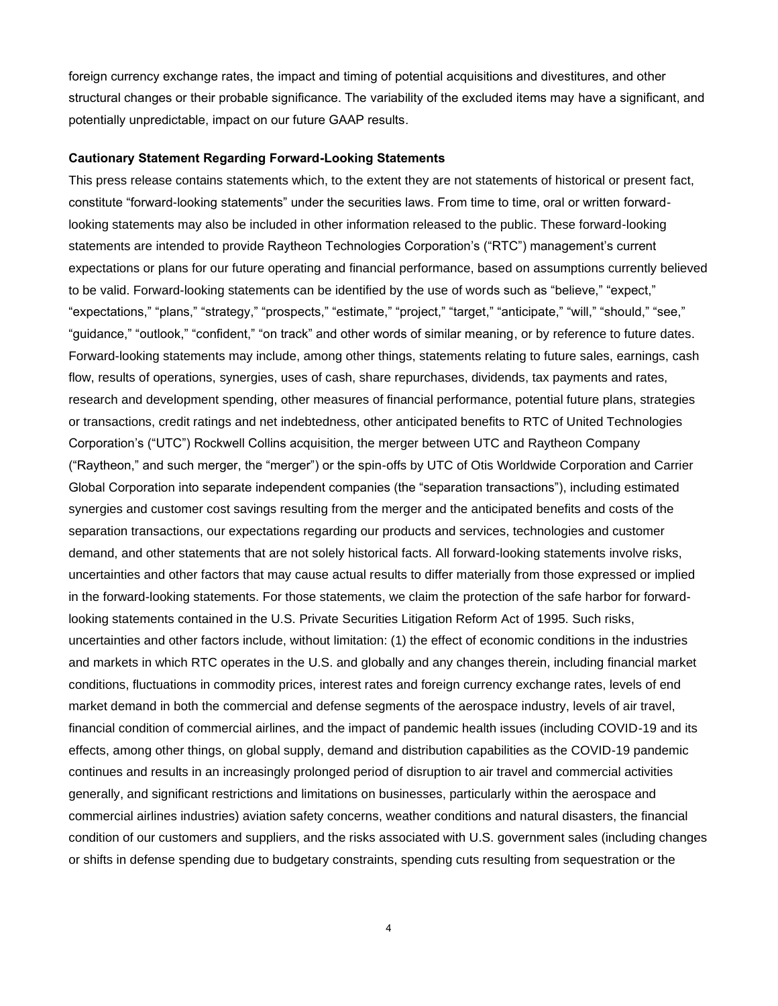foreign currency exchange rates, the impact and timing of potential acquisitions and divestitures, and other structural changes or their probable significance. The variability of the excluded items may have a significant, and potentially unpredictable, impact on our future GAAP results.

#### **Cautionary Statement Regarding Forward-Looking Statements**

This press release contains statements which, to the extent they are not statements of historical or present fact, constitute "forward-looking statements" under the securities laws. From time to time, oral or written forwardlooking statements may also be included in other information released to the public. These forward-looking statements are intended to provide Raytheon Technologies Corporation's ("RTC") management's current expectations or plans for our future operating and financial performance, based on assumptions currently believed to be valid. Forward-looking statements can be identified by the use of words such as "believe," "expect," "expectations," "plans," "strategy," "prospects," "estimate," "project," "target," "anticipate," "will," "should," "see," "guidance," "outlook," "confident," "on track" and other words of similar meaning, or by reference to future dates. Forward-looking statements may include, among other things, statements relating to future sales, earnings, cash flow, results of operations, synergies, uses of cash, share repurchases, dividends, tax payments and rates, research and development spending, other measures of financial performance, potential future plans, strategies or transactions, credit ratings and net indebtedness, other anticipated benefits to RTC of United Technologies Corporation's ("UTC") Rockwell Collins acquisition, the merger between UTC and Raytheon Company ("Raytheon," and such merger, the "merger") or the spin-offs by UTC of Otis Worldwide Corporation and Carrier Global Corporation into separate independent companies (the "separation transactions"), including estimated synergies and customer cost savings resulting from the merger and the anticipated benefits and costs of the separation transactions, our expectations regarding our products and services, technologies and customer demand, and other statements that are not solely historical facts. All forward-looking statements involve risks, uncertainties and other factors that may cause actual results to differ materially from those expressed or implied in the forward-looking statements. For those statements, we claim the protection of the safe harbor for forwardlooking statements contained in the U.S. Private Securities Litigation Reform Act of 1995. Such risks, uncertainties and other factors include, without limitation: (1) the effect of economic conditions in the industries and markets in which RTC operates in the U.S. and globally and any changes therein, including financial market conditions, fluctuations in commodity prices, interest rates and foreign currency exchange rates, levels of end market demand in both the commercial and defense segments of the aerospace industry, levels of air travel, financial condition of commercial airlines, and the impact of pandemic health issues (including COVID-19 and its effects, among other things, on global supply, demand and distribution capabilities as the COVID-19 pandemic continues and results in an increasingly prolonged period of disruption to air travel and commercial activities generally, and significant restrictions and limitations on businesses, particularly within the aerospace and commercial airlines industries) aviation safety concerns, weather conditions and natural disasters, the financial condition of our customers and suppliers, and the risks associated with U.S. government sales (including changes or shifts in defense spending due to budgetary constraints, spending cuts resulting from sequestration or the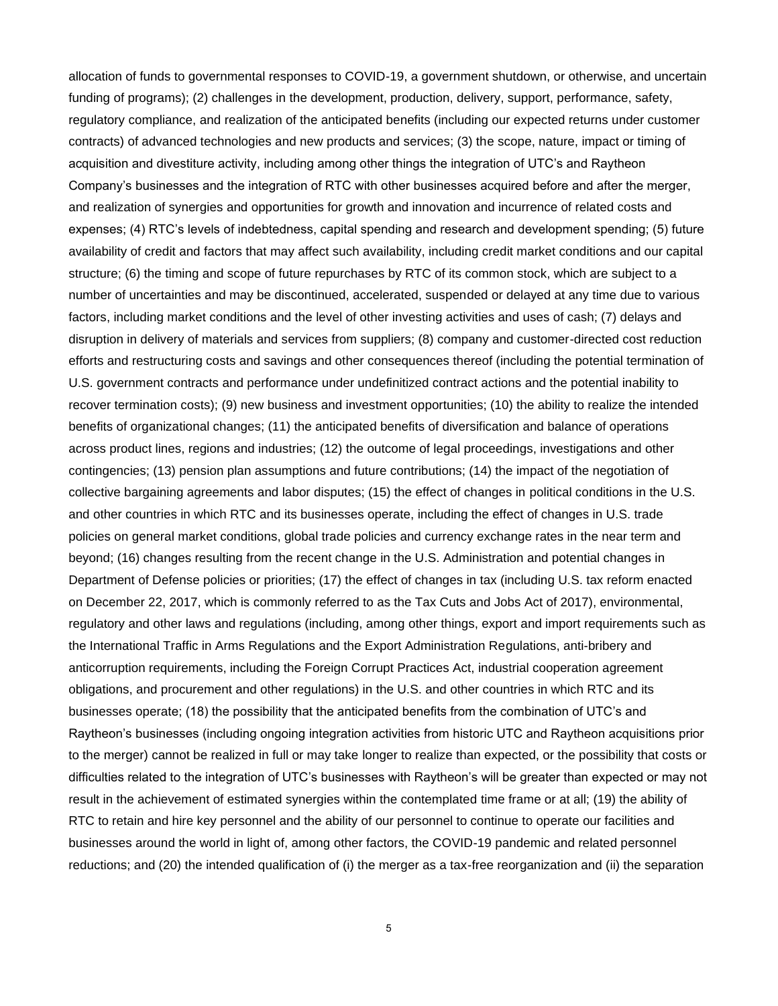allocation of funds to governmental responses to COVID-19, a government shutdown, or otherwise, and uncertain funding of programs); (2) challenges in the development, production, delivery, support, performance, safety, regulatory compliance, and realization of the anticipated benefits (including our expected returns under customer contracts) of advanced technologies and new products and services; (3) the scope, nature, impact or timing of acquisition and divestiture activity, including among other things the integration of UTC's and Raytheon Company's businesses and the integration of RTC with other businesses acquired before and after the merger, and realization of synergies and opportunities for growth and innovation and incurrence of related costs and expenses; (4) RTC's levels of indebtedness, capital spending and research and development spending; (5) future availability of credit and factors that may affect such availability, including credit market conditions and our capital structure; (6) the timing and scope of future repurchases by RTC of its common stock, which are subject to a number of uncertainties and may be discontinued, accelerated, suspended or delayed at any time due to various factors, including market conditions and the level of other investing activities and uses of cash; (7) delays and disruption in delivery of materials and services from suppliers; (8) company and customer-directed cost reduction efforts and restructuring costs and savings and other consequences thereof (including the potential termination of U.S. government contracts and performance under undefinitized contract actions and the potential inability to recover termination costs); (9) new business and investment opportunities; (10) the ability to realize the intended benefits of organizational changes; (11) the anticipated benefits of diversification and balance of operations across product lines, regions and industries; (12) the outcome of legal proceedings, investigations and other contingencies; (13) pension plan assumptions and future contributions; (14) the impact of the negotiation of collective bargaining agreements and labor disputes; (15) the effect of changes in political conditions in the U.S. and other countries in which RTC and its businesses operate, including the effect of changes in U.S. trade policies on general market conditions, global trade policies and currency exchange rates in the near term and beyond; (16) changes resulting from the recent change in the U.S. Administration and potential changes in Department of Defense policies or priorities; (17) the effect of changes in tax (including U.S. tax reform enacted on December 22, 2017, which is commonly referred to as the Tax Cuts and Jobs Act of 2017), environmental, regulatory and other laws and regulations (including, among other things, export and import requirements such as the International Traffic in Arms Regulations and the Export Administration Regulations, anti-bribery and anticorruption requirements, including the Foreign Corrupt Practices Act, industrial cooperation agreement obligations, and procurement and other regulations) in the U.S. and other countries in which RTC and its businesses operate; (18) the possibility that the anticipated benefits from the combination of UTC's and Raytheon's businesses (including ongoing integration activities from historic UTC and Raytheon acquisitions prior to the merger) cannot be realized in full or may take longer to realize than expected, or the possibility that costs or difficulties related to the integration of UTC's businesses with Raytheon's will be greater than expected or may not result in the achievement of estimated synergies within the contemplated time frame or at all; (19) the ability of RTC to retain and hire key personnel and the ability of our personnel to continue to operate our facilities and businesses around the world in light of, among other factors, the COVID-19 pandemic and related personnel reductions; and (20) the intended qualification of (i) the merger as a tax-free reorganization and (ii) the separation